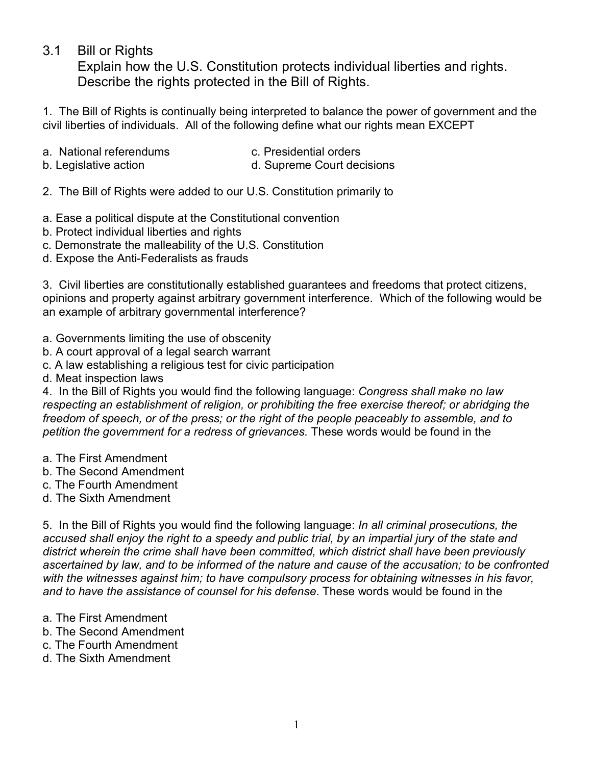## 3.1 Bill or Rights

Explain how the U.S. Constitution protects individual liberties and rights. Describe the rights protected in the Bill of Rights.

1. The Bill of Rights is continually being interpreted to balance the power of government and the civil liberties of individuals. All of the following define what our rights mean EXCEPT

- a. National referendums exercise c. Presidential orders
	-
- b. Legislative action d. Supreme Court decisions
- 2. The Bill of Rights were added to our U.S. Constitution primarily to
- a. Ease a political dispute at the Constitutional convention
- b. Protect individual liberties and rights
- c. Demonstrate the malleability of the U.S. Constitution
- d. Expose the Anti-Federalists as frauds

3. Civil liberties are constitutionally established guarantees and freedoms that protect citizens, opinions and property against arbitrary government interference. Which of the following would be an example of arbitrary governmental interference?

- a. Governments limiting the use of obscenity
- b. A court approval of a legal search warrant
- c. A law establishing a religious test for civic participation
- d. Meat inspection laws

4. In the Bill of Rights you would find the following language: *Congress shall make no law respecting an establishment of religion, or prohibiting the free exercise thereof; or abridging the freedom of speech, or of the press; or the right of the people peaceably to assemble, and to petition the government for a redress of grievances.* These words would be found in the

- a. The First Amendment
- b. The Second Amendment
- c. The Fourth Amendment
- d. The Sixth Amendment

5. In the Bill of Rights you would find the following language: *In all criminal prosecutions, the accused shall enjoy the right to a speedy and public trial, by an impartial jury of the state and district wherein the crime shall have been committed, which district shall have been previously ascertained by law, and to be informed of the nature and cause of the accusation; to be confronted*  with the witnesses against him; to have compulsory process for obtaining witnesses in his favor, *and to have the assistance of counsel for his defense*. These words would be found in the

- a. The First Amendment
- b. The Second Amendment
- c. The Fourth Amendment
- d. The Sixth Amendment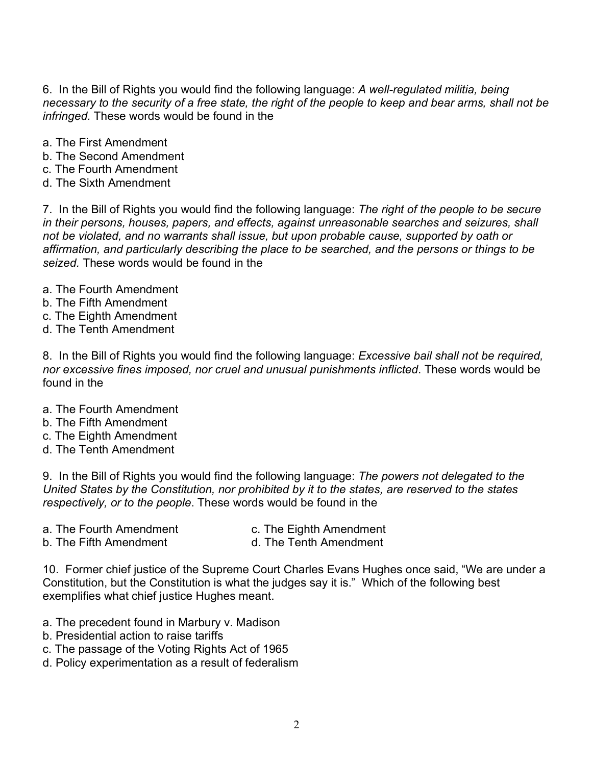6. In the Bill of Rights you would find the following language: *A well-regulated militia, being necessary to the security of a free state, the right of the people to keep and bear arms, shall not be infringed.* These words would be found in the

- a. The First Amendment
- b. The Second Amendment
- c. The Fourth Amendment
- d. The Sixth Amendment

7. In the Bill of Rights you would find the following language: *The right of the people to be secure in their persons, houses, papers, and effects, against unreasonable searches and seizures, shall not be violated, and no warrants shall issue, but upon probable cause, supported by oath or affirmation, and particularly describing the place to be searched, and the persons or things to be seized.* These words would be found in the

- a. The Fourth Amendment
- b. The Fifth Amendment
- c. The Eighth Amendment
- d. The Tenth Amendment

8. In the Bill of Rights you would find the following language: *Excessive bail shall not be required, nor excessive fines imposed, nor cruel and unusual punishments inflicted*. These words would be found in the

- a. The Fourth Amendment
- b. The Fifth Amendment
- c. The Eighth Amendment
- d. The Tenth Amendment

9. In the Bill of Rights you would find the following language: *The powers not delegated to the United States by the Constitution, nor prohibited by it to the states, are reserved to the states respectively, or to the people*. These words would be found in the

- 
- a. The Fourth Amendment **c. The Eighth Amendment**
- b. The Fifth Amendment d. The Tenth Amendment
- 

10. Former chief justice of the Supreme Court Charles Evans Hughes once said, "We are under a Constitution, but the Constitution is what the judges say it is." Which of the following best exemplifies what chief justice Hughes meant.

- a. The precedent found in Marbury v. Madison
- b. Presidential action to raise tariffs
- c. The passage of the Voting Rights Act of 1965
- d. Policy experimentation as a result of federalism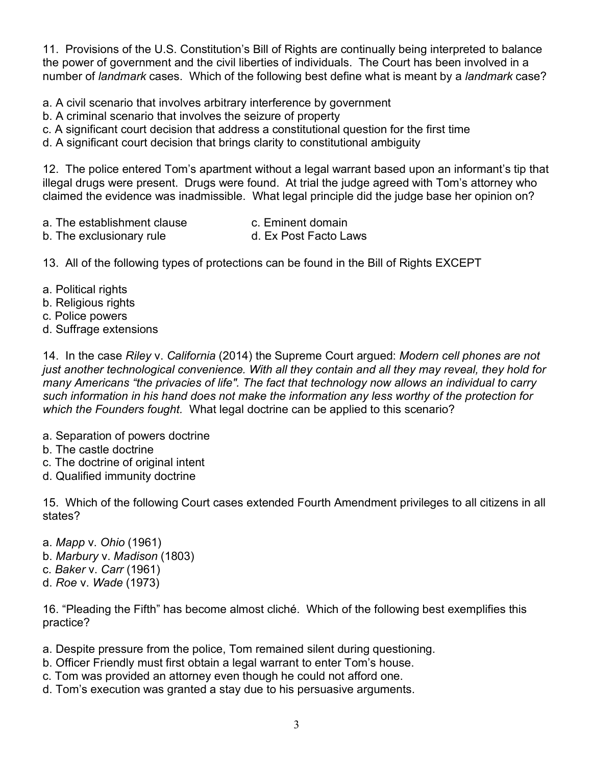11. Provisions of the U.S. Constitution's Bill of Rights are continually being interpreted to balance the power of government and the civil liberties of individuals. The Court has been involved in a number of *landmark* cases. Which of the following best define what is meant by a *landmark* case?

a. A civil scenario that involves arbitrary interference by government

- b. A criminal scenario that involves the seizure of property
- c. A significant court decision that address a constitutional question for the first time
- d. A significant court decision that brings clarity to constitutional ambiguity

12. The police entered Tom's apartment without a legal warrant based upon an informant's tip that illegal drugs were present. Drugs were found. At trial the judge agreed with Tom's attorney who claimed the evidence was inadmissible. What legal principle did the judge base her opinion on?

- a. The establishment clause example c. Eminent domain
	-
- b. The exclusionary rule b. The exclusionary rule
- 

13. All of the following types of protections can be found in the Bill of Rights EXCEPT

- a. Political rights
- b. Religious rights
- c. Police powers
- d. Suffrage extensions

14. In the case *Riley* v. *California* (2014) the Supreme Court argued: *Modern cell phones are not just another technological convenience. With all they contain and all they may reveal, they hold for many Americans "the privacies of life". The fact that technology now allows an individual to carry such information in his hand does not make the information any less worthy of the protection for which the Founders fought.* What legal doctrine can be applied to this scenario?

- a. Separation of powers doctrine
- b. The castle doctrine
- c. The doctrine of original intent
- d. Qualified immunity doctrine

15. Which of the following Court cases extended Fourth Amendment privileges to all citizens in all states?

- a. *Mapp* v. *Ohio* (1961)
- b. *Marbury* v. *Madison* (1803)
- c. *Baker* v. *Carr* (1961)
- d. *Roe* v. *Wade* (1973)

16. "Pleading the Fifth" has become almost cliché. Which of the following best exemplifies this practice?

- a. Despite pressure from the police, Tom remained silent during questioning.
- b. Officer Friendly must first obtain a legal warrant to enter Tom's house.
- c. Tom was provided an attorney even though he could not afford one.
- d. Tom's execution was granted a stay due to his persuasive arguments.